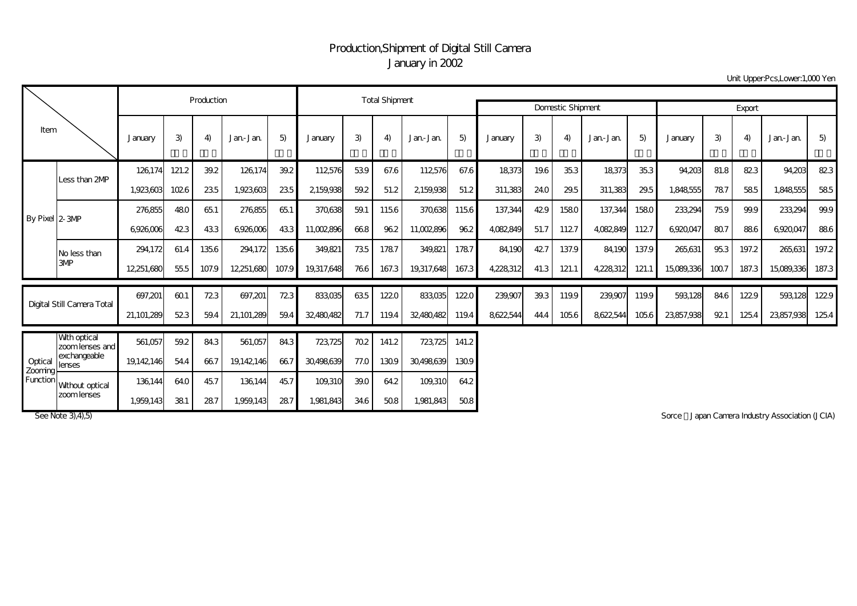## Production,Shipment of Digital Still Camera January in 2002

Unit Upper:Pcs,Lower:1,000 Yen

| Item                           |                                 |            | Production    |               | <b>Total Shipment</b>       |       |                 |               |          |                                  |        |           |      |                |           |       |            |      |       |            |       |
|--------------------------------|---------------------------------|------------|---------------|---------------|-----------------------------|-------|-----------------|---------------|----------|----------------------------------|--------|-----------|------|----------------|-----------|-------|------------|------|-------|------------|-------|
|                                |                                 |            |               |               |                             |       |                 |               |          | <b>Domestic Shipment</b>         | Export |           |      |                |           |       |            |      |       |            |       |
|                                |                                 | January    | 3)            | 4)            | Jan-Jan                     | 5)    | <b>J</b> anuary | 3)            | 4)       | Jan-Jan                          | 5)     | January   | 3)   | $\overline{4}$ | Jan-Jan   | 5)    | January    | 3)   | 4)    | Jan-Jan    | 5)    |
| By Pixel 2-3MP                 | Less than 2MP                   | 126174     | 121.2         | 39.2          | 126,174                     | 39.2  | 112576          | 539           | 67.6     | 112576                           | 67.6   | 18,373    | 19.6 | 35.3           | 18373     | 35.3  | 94,203     | 81.8 | 823   | 94,203     | 823   |
|                                |                                 | 1,923,603  | 1026          | 235           | 1,923,603                   | 235   | 2159,938        | 59.2          | 51.2     | 2159,938                         | 51.2   | 311,383   | 24.0 | 29.5           | 311,383   | 29.5  | 1,848,555  | 787  | 585   | 1,848,555  | 585   |
|                                |                                 | 276855     | 480           | 651           | 276,855                     | 651   | 370,638         | 59.1          | 1156     | 370,638                          | 1156   | 137,344   | 429  | 1580           | 137,344   | 1580  | 233,294    | 759  | 99.9  | 233,294    | 99.9  |
|                                |                                 | 6926006    | 423           | 433           | 6926006                     | 433   | 11,002,896      | 668           | 962      | 11,002,896                       | 962    | 4,082,849 | 51.7 | 1127           | 4,082,849 | 1127  | 6,920,047  | 807  | 886   | 6,920,047  | 886   |
|                                | No less than                    | 294172     | 61.4          | 1356          | 294.172                     | 1356  | 349,821         | 735           | 1787     | 349,821                          | 1787   | 84,190    | 427  | 137.9          | 84190     | 137.9 | 265,631    | 953  | 197.2 | 265,631    | 197.2 |
|                                | 3MP                             | 12,251,680 | 55.5          | 107.9         | 12,251,680                  | 107.9 | 19,317,648      | 766           | 167.3    | 19,317,648                       | 167.3  | 4,228,312 | 41.3 | 121.1          | 4,228,312 | 121.1 | 15,089,336 | 1007 | 187.3 | 15,089,336 | 187.3 |
| Digital Still Camera Total     |                                 | 697,201    | 601           | 723           | 697,201                     | 723   | 833,035         | 635           | 1220     | 833,035                          | 1220   | 239,907   | 39.3 | 119.9          | 239,907   | 119.9 | 593,128    | 84.6 | 1229  | 593,128    | 1229  |
|                                |                                 | 21,101,289 | 523           | 59.4          | 21,101,289                  | 59.4  | 32480482        | 71.7          | 119.4    | 32480482                         | 119.4  | 8622,544  | 44.4 | 1056           | 8622544   | 1056  | 23,857,938 | 921  | 125.4 | 23,857,938 | 1254  |
| Optical<br>Zooming<br>Function | With optical<br>zoom lenses and | 561,057    | 59.2          | 84.3          | 561.057                     | 84.3  | 723,725         | 702           | 141.2    | 723,725                          | 141.2  |           |      |                |           |       |            |      |       |            |       |
|                                | exchangeable<br>lenses          | 19,142,146 | 54.4          | 667           | 19142146                    | 667   | 30,498,639      | 77.0          | 1309     | 30,498,639                       | 1309   |           |      |                |           |       |            |      |       |            |       |
|                                | Wthout optical                  | 136144     | 64.0          | 45.7          | 136144                      | 45.7  | 109,310         | 39.0          | 64.2     | 109.310                          | 64.2   |           |      |                |           |       |            |      |       |            |       |
|                                | zoom lenses                     | .          | $\sim$ $\sim$ | $\sim$ $\sim$ | $\sim$ $\sim$ $\sim$ $\sim$ |       | $\overline{a}$  | $\sim$ $\sim$ | $-2 - 2$ | $\sim$ 0.000 $\sim$ 1.000 $\sim$ |        |           |      |                |           |       |            |      |       |            |       |

1,959,143 38.1 28.7 1,959,143 28.7 1,981,843 34.6 50.8 1,981,843 50.8

See Note 3),4),5) **See Note 3,4),5)** Sorce Japan Camera Industry Association (JCIA)